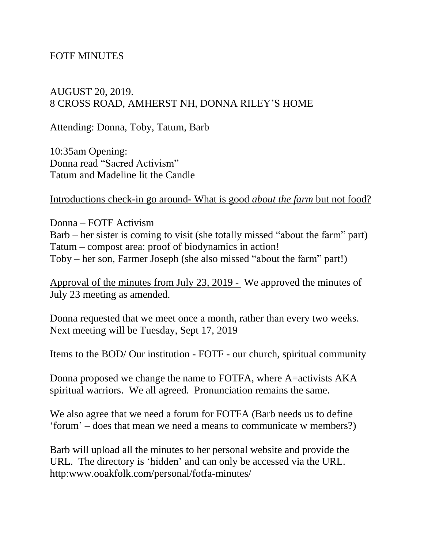## FOTF MINUTES

## AUGUST 20, 2019. 8 CROSS ROAD, AMHERST NH, DONNA RILEY'S HOME

Attending: Donna, Toby, Tatum, Barb

10:35am Opening: Donna read "Sacred Activism" Tatum and Madeline lit the Candle

Introductions check-in go around- What is good *about the farm* but not food?

Donna – FOTF Activism Barb – her sister is coming to visit (she totally missed "about the farm" part) Tatum – compost area: proof of biodynamics in action! Toby – her son, Farmer Joseph (she also missed "about the farm" part!)

Approval of the minutes from July 23, 2019 - We approved the minutes of July 23 meeting as amended.

Donna requested that we meet once a month, rather than every two weeks. Next meeting will be Tuesday, Sept 17, 2019

Items to the BOD/ Our institution - FOTF - our church, spiritual community

Donna proposed we change the name to FOTFA, where A=activists AKA spiritual warriors. We all agreed. Pronunciation remains the same.

We also agree that we need a forum for FOTFA (Barb needs us to define 'forum' – does that mean we need a means to communicate w members?)

Barb will upload all the minutes to her personal website and provide the URL. The directory is 'hidden' and can only be accessed via the URL. http:www.ooakfolk.com/personal/fotfa-minutes/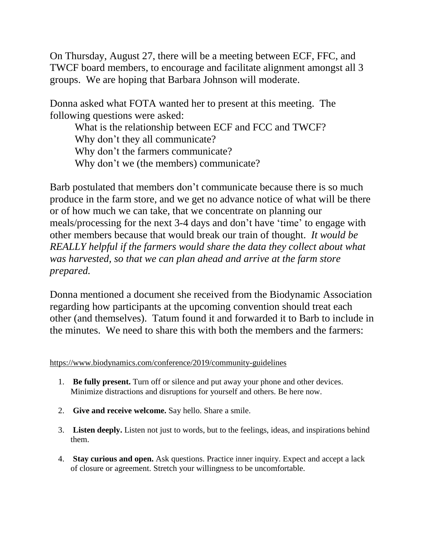On Thursday, August 27, there will be a meeting between ECF, FFC, and TWCF board members, to encourage and facilitate alignment amongst all 3 groups. We are hoping that Barbara Johnson will moderate.

Donna asked what FOTA wanted her to present at this meeting. The following questions were asked:

What is the relationship between ECF and FCC and TWCF? Why don't they all communicate? Why don't the farmers communicate? Why don't we (the members) communicate?

Barb postulated that members don't communicate because there is so much produce in the farm store, and we get no advance notice of what will be there or of how much we can take, that we concentrate on planning our meals/processing for the next 3-4 days and don't have 'time' to engage with other members because that would break our train of thought. *It would be REALLY helpful if the farmers would share the data they collect about what was harvested, so that we can plan ahead and arrive at the farm store prepared.*

Donna mentioned a document she received from the Biodynamic Association regarding how participants at the upcoming convention should treat each other (and themselves). Tatum found it and forwarded it to Barb to include in the minutes. We need to share this with both the members and the farmers:

<https://www.biodynamics.com/conference/2019/community-guidelines>

- 1. **Be fully present.** Turn off or silence and put away your phone and other devices. Minimize distractions and disruptions for yourself and others. Be here now.
- 2. **Give and receive welcome.** Say hello. Share a smile.
- 3. **Listen deeply.** Listen not just to words, but to the feelings, ideas, and inspirations behind them.
- 4. **Stay curious and open.** Ask questions. Practice inner inquiry. Expect and accept a lack of closure or agreement. Stretch your willingness to be uncomfortable.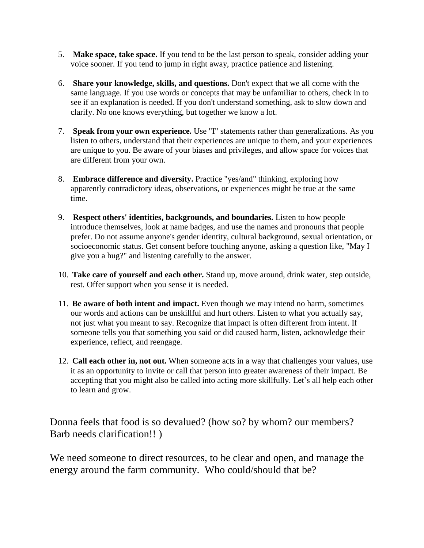- 5. **Make space, take space.** If you tend to be the last person to speak, consider adding your voice sooner. If you tend to jump in right away, practice patience and listening.
- 6. **Share your knowledge, skills, and questions.** Don't expect that we all come with the same language. If you use words or concepts that may be unfamiliar to others, check in to see if an explanation is needed. If you don't understand something, ask to slow down and clarify. No one knows everything, but together we know a lot.
- 7. **Speak from your own experience.** Use "I" statements rather than generalizations. As you listen to others, understand that their experiences are unique to them, and your experiences are unique to you. Be aware of your biases and privileges, and allow space for voices that are different from your own.
- 8. **Embrace difference and diversity.** Practice "yes/and" thinking, exploring how apparently contradictory ideas, observations, or experiences might be true at the same time.
- 9. **Respect others' identities, backgrounds, and boundaries.** Listen to how people introduce themselves, look at name badges, and use the names and pronouns that people prefer. Do not assume anyone's gender identity, cultural background, sexual orientation, or socioeconomic status. Get consent before touching anyone, asking a question like, "May I give you a hug?" and listening carefully to the answer.
- 10. **Take care of yourself and each other.** Stand up, move around, drink water, step outside, rest. Offer support when you sense it is needed.
- 11. **Be aware of both intent and impact.** Even though we may intend no harm, sometimes our words and actions can be unskillful and hurt others. Listen to what you actually say, not just what you meant to say. Recognize that impact is often different from intent. If someone tells you that something you said or did caused harm, listen, acknowledge their experience, reflect, and reengage.
- 12. **Call each other in, not out.** When someone acts in a way that challenges your values, use it as an opportunity to invite or call that person into greater awareness of their impact. Be accepting that you might also be called into acting more skillfully. Let's all help each other to learn and grow.

Donna feels that food is so devalued? (how so? by whom? our members? Barb needs clarification!! )

We need someone to direct resources, to be clear and open, and manage the energy around the farm community. Who could/should that be?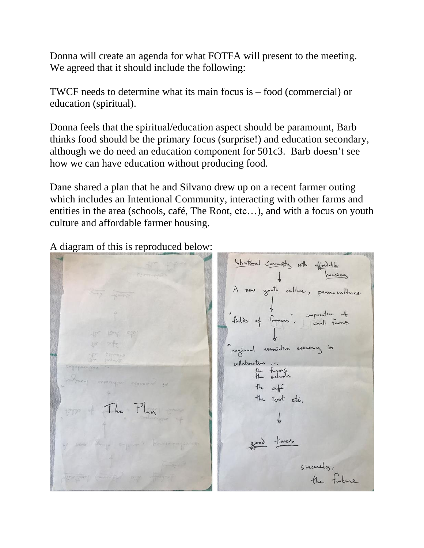Donna will create an agenda for what FOTFA will present to the meeting. We agreed that it should include the following:

TWCF needs to determine what its main focus is – food (commercial) or education (spiritual).

Donna feels that the spiritual/education aspect should be paramount, Barb thinks food should be the primary focus (surprise!) and education secondary, although we do need an education component for 501c3. Barb doesn't see how we can have education without producing food.

Dane shared a plan that he and Silvano drew up on a recent farmer outing which includes an Intentional Community, interacting with other farms and entities in the area (schools, café, The Root, etc…), and with a focus on youth culture and affordable farmer housing.

A diagram of this is reproduced below:

Intentional Community with affordable A now youth culture, permaculture cooperative of fields of formers", regional associative economy in collaboration. the farms the afé the Root etc. The Play good times sincerelos,<br>the future